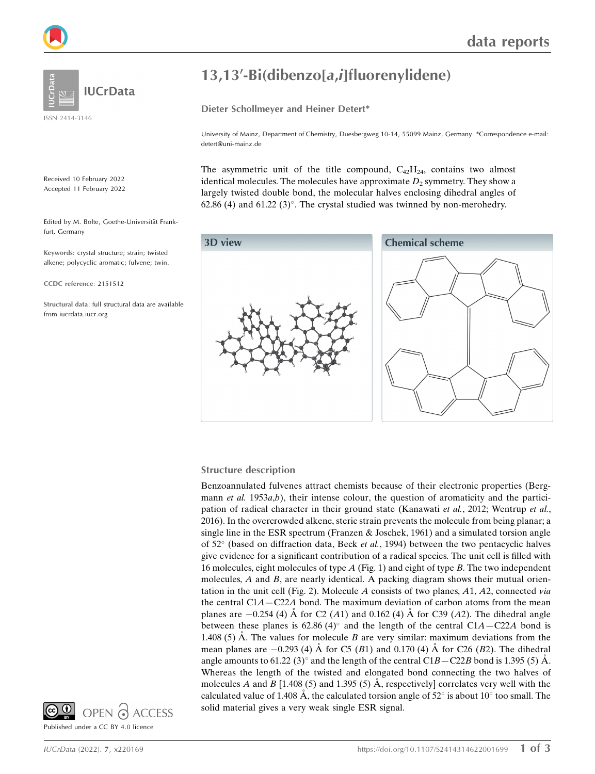



ISSN 2414-3146

Received 10 February 2022 Accepted 11 February 2022

Edited by M. Bolte, Goethe-Universität Frankfurt, Germany

Keywords: crystal structure; strain; twisted alkene; polycyclic aromatic; fulvene; twin.

CCDC reference: 2151512

Structural data: full structural data are available from iucrdata.iucr.org

# 13,13'-Bi(dibenzo[a,i]fluorenylidene)

Dieter Schollmeyer and Heiner Detert\*

University of Mainz, Department of Chemistry, Duesbergweg 10-14, 55099 Mainz, Germany. \*Correspondence e-mail: detert@uni-mainz.de

The asymmetric unit of the title compound,  $C_{42}H_{24}$ , contains two almost identical molecules. The molecules have approximate  $D_2$  symmetry. They show a largely twisted double bond, the molecular halves enclosing dihedral angles of  $62.86$  (4) and  $61.22$  (3)°. The crystal studied was twinned by non-merohedry.



### Structure description

Benzoannulated fulvenes attract chemists because of their electronic properties (Bergmann et al.  $1953a,b$ ), their intense colour, the question of aromaticity and the participation of radical character in their ground state (Kanawati et al., 2012; Wentrup et al., 2016). In the overcrowded alkene, steric strain prevents the molecule from being planar; a single line in the ESR spectrum (Franzen & Joschek, 1961) and a simulated torsion angle of 52° (based on diffraction data, Beck et al., 1994) between the two pentacyclic halves give evidence for a significant contribution of a radical species. The unit cell is filled with 16 molecules, eight molecules of type  $A$  (Fig. 1) and eight of type  $B$ . The two independent molecules,  $A$  and  $B$ , are nearly identical. A packing diagram shows their mutual orientation in the unit cell (Fig. 2). Molecule A consists of two planes,  $A1$ ,  $A2$ , connected via the central  $C1A - C22A$  bond. The maximum deviation of carbon atoms from the mean planes are  $-0.254$  (4) Å for C2 (A1) and 0.162 (4) Å for C39 (A2). The dihedral angle between these planes is 62.86 (4)° and the length of the central  $C1A - C22A$  bond is 1.408 (5)  $\dot{A}$ . The values for molecule B are very similar: maximum deviations from the mean planes are  $-0.293$  (4) A for C5 (B1) and 0.170 (4) A for C26 (B2). The dihedral angle amounts to 61.22 (3)° and the length of the central C1B – C22B bond is 1.395 (5) Å. Whereas the length of the twisted and elongated bond connecting the two halves of molecules A and B [1.408 (5) and 1.395 (5) A, respectively] correlates very well with the calculated value of 1.408 Å, the calculated torsion angle of  $52^{\circ}$  is about 10 $^{\circ}$  too small. The solid material gives a very weak single ESR signal.

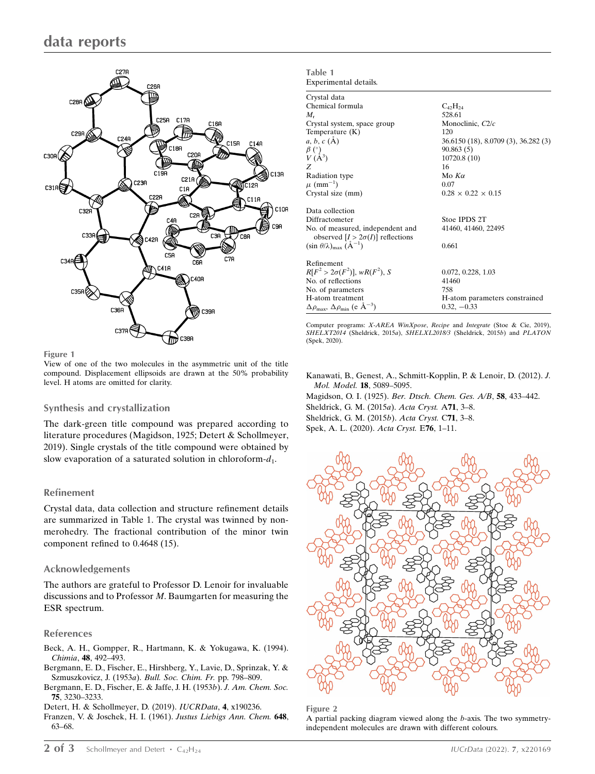

Figure 1

View of one of the two molecules in the asymmetric unit of the title compound. Displacement ellipsoids are drawn at the 50% probability level. H atoms are omitted for clarity.

### Synthesis and crystallization

The dark-green title compound was prepared according to literature procedures (Magidson, 1925; Detert & Schollmeyer, 2019). Single crystals of the title compound were obtained by slow evaporation of a saturated solution in chloroform- $d_1$ .

### Refinement

Crystal data, data collection and structure refinement details are summarized in Table 1. The crystal was twinned by nonmerohedry. The fractional contribution of the minor twin component refined to 0.4648 (15).

### Acknowledgements

The authors are grateful to Professor D. Lenoir for invaluable discussions and to Professor M. Baumgarten for measuring the ESR spectrum.

#### References

- [Beck, A. H., Gompper, R., Hartmann, K. & Yokugawa, K. \(1994\).](http://scripts.iucr.org/cgi-bin/cr.cgi?rm=pdfbb&cnor=bt4120&bbid=BB1) Chimia, 48[, 492–493.](http://scripts.iucr.org/cgi-bin/cr.cgi?rm=pdfbb&cnor=bt4120&bbid=BB1)
- [Bergmann, E. D., Fischer, E., Hirshberg, Y., Lavie, D., Sprinzak, Y. &](http://scripts.iucr.org/cgi-bin/cr.cgi?rm=pdfbb&cnor=bt4120&bbid=BB2) [Szmuszkovicz, J. \(1953](http://scripts.iucr.org/cgi-bin/cr.cgi?rm=pdfbb&cnor=bt4120&bbid=BB2)a). Bull. Soc. Chim. Fr. pp. 798–809.
- [Bergmann, E. D., Fischer, E. & Jaffe, J. H. \(1953](http://scripts.iucr.org/cgi-bin/cr.cgi?rm=pdfbb&cnor=bt4120&bbid=BB3)b). J. Am. Chem. Soc. 75[, 3230–3233.](http://scripts.iucr.org/cgi-bin/cr.cgi?rm=pdfbb&cnor=bt4120&bbid=BB3)
- [Detert, H. & Schollmeyer, D. \(2019\).](http://scripts.iucr.org/cgi-bin/cr.cgi?rm=pdfbb&cnor=bt4120&bbid=BB4) IUCRData, 4, x190236.
- [Franzen, V. & Joschek, H. I. \(1961\).](http://scripts.iucr.org/cgi-bin/cr.cgi?rm=pdfbb&cnor=bt4120&bbid=BB5) Justus Liebigs Ann. Chem. 648, [63–68.](http://scripts.iucr.org/cgi-bin/cr.cgi?rm=pdfbb&cnor=bt4120&bbid=BB5)

| Table 1                                                                     |                                      |
|-----------------------------------------------------------------------------|--------------------------------------|
| Experimental details.                                                       |                                      |
| Crystal data                                                                |                                      |
| Chemical formula                                                            | $C_{42}H_{24}$                       |
| M.                                                                          | 528.61                               |
| Crystal system, space group                                                 | Monoclinic, $C2/c$                   |
| Temperature (K)                                                             | 120                                  |
| $a, b, c (\AA)$                                                             | 36.6150 (18), 8.0709 (3), 36.282 (3) |
| $\begin{array}{c} \beta \ (\^{\circ}) \\ V \ (\AA^3) \end{array}$           | 90.863(5)                            |
|                                                                             | 10720.8 (10)                         |
| Z                                                                           | 16                                   |
| Radiation type                                                              | Mo $K\alpha$                         |
| $\mu$ (mm <sup>-1</sup> )                                                   | 0.07                                 |
| Crystal size (mm)                                                           | $0.28 \times 0.22 \times 0.15$       |
| Data collection                                                             |                                      |
| Diffractometer                                                              | Stoe IPDS 2T                         |
| No. of measured, independent and<br>observed $[I > 2\sigma(I)]$ reflections | 41460, 41460, 22495                  |
| $(\sin \theta/\lambda)_{\text{max}}$ $(\text{\AA}^{-1})$                    | 0.661                                |
| Refinement                                                                  |                                      |
| $R[F^2 > 2\sigma(F^2)], wR(F^2), S$                                         | 0.072, 0.228, 1.03                   |
| No. of reflections                                                          | 41460                                |
| No. of parameters                                                           | 758                                  |
| H-atom treatment                                                            | H-atom parameters constrained        |
| $\Delta\rho_{\text{max}}$ , $\Delta\rho_{\text{min}}$ (e $\AA^{-3}$ )       | $0.32, -0.33$                        |

Computer programs: X-AREA WinXpose, Recipe and Integrate (Stoe & Cie, 2019), SHELXT2014 (Sheldrick, 2015a), SHELXL2018/3 (Sheldrick, 2015b) and PLATON (Spek, 2020).

[Kanawati, B., Genest, A., Schmitt-Kopplin, P. & Lenoir, D. \(2012\).](http://scripts.iucr.org/cgi-bin/cr.cgi?rm=pdfbb&cnor=bt4120&bbid=BB6) J. [Mol. Model.](http://scripts.iucr.org/cgi-bin/cr.cgi?rm=pdfbb&cnor=bt4120&bbid=BB6) 18, 5089–5095.

Magidson, O. I. (1925). [Ber. Dtsch. Chem. Ges. A/B](http://scripts.iucr.org/cgi-bin/cr.cgi?rm=pdfbb&cnor=bt4120&bbid=BB7), 58, 433–442. [Sheldrick, G. M. \(2015](http://scripts.iucr.org/cgi-bin/cr.cgi?rm=pdfbb&cnor=bt4120&bbid=BB8)a). Acta Cryst. A71, 3–8. [Sheldrick, G. M. \(2015](http://scripts.iucr.org/cgi-bin/cr.cgi?rm=pdfbb&cnor=bt4120&bbid=BB9)b). Acta Cryst. C71, 3–8. [Spek, A. L. \(2020\).](http://scripts.iucr.org/cgi-bin/cr.cgi?rm=pdfbb&cnor=bt4120&bbid=BB10) Acta Cryst. E76, 1–11.



Figure 2

A partial packing diagram viewed along the b-axis. The two symmetryindependent molecules are drawn with different colours.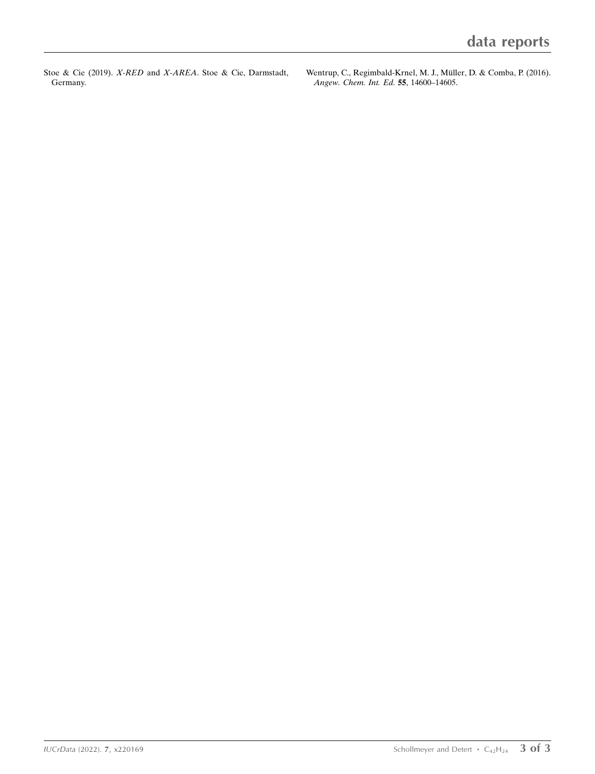Stoe & Cie (2019). X-RED and X-AREA[. Stoe & Cie, Darmstadt,](http://scripts.iucr.org/cgi-bin/cr.cgi?rm=pdfbb&cnor=bt4120&bbid=BB12) [Germany.](http://scripts.iucr.org/cgi-bin/cr.cgi?rm=pdfbb&cnor=bt4120&bbid=BB12)

Wentrup, C., Regimbald-Krnel, M. J., Müller, D. & Comba, P. (2016). [Angew. Chem. Int. Ed.](http://scripts.iucr.org/cgi-bin/cr.cgi?rm=pdfbb&cnor=bt4120&bbid=BB12) 55, 14600–14605.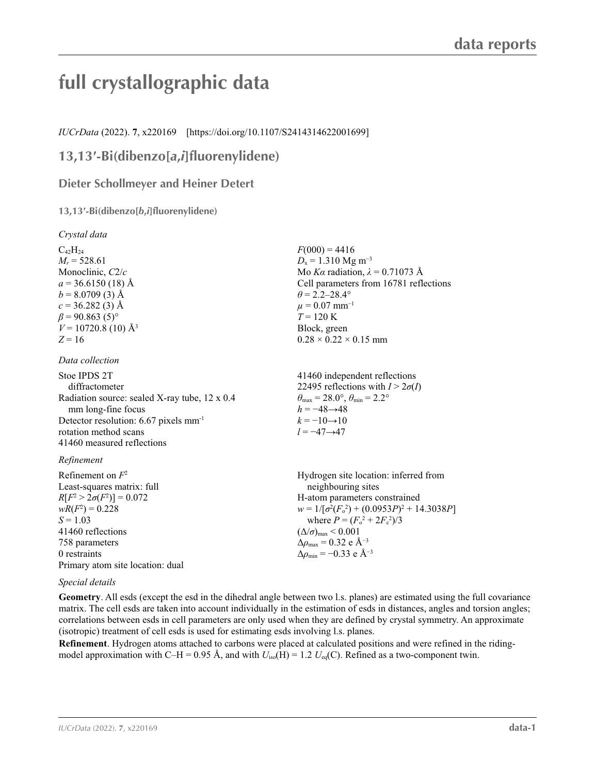# **full crystallographic data**

*IUCrData* (2022). **7**, x220169 [https://doi.org/10.1107/S2414314622001699]

## **13,13′-Bi(dibenzo[***a***,***i***]fluorenylidene)**

### **Dieter Schollmeyer and Heiner Detert**

### **13,13′-Bi(dibenzo[***b***,***i***]fluorenylidene)**

*Crystal data*

| $C_{42}H_{24}$                                      |  |
|-----------------------------------------------------|--|
| $M_r = 528.61$                                      |  |
| Monoclinic, $C2/c$                                  |  |
| $a = 36.6150(18)$ Å                                 |  |
| $b = 8.0709(3)$ Å                                   |  |
| $c = 36.282(3)$ Å                                   |  |
| $\beta$ = 90.863 (5) <sup>o</sup>                   |  |
| $V = 10720.8$ (10) Å <sup>3</sup>                   |  |
| $Z = 16$                                            |  |
|                                                     |  |
| $\mathbf{D}$ $\mathbf{E}$ $\mathbf{H}$ $\mathbf{F}$ |  |

*Data collection*

| Stoe IPDS 2T                                        | 414               |
|-----------------------------------------------------|-------------------|
| diffractometer                                      | 224               |
| Radiation source: sealed X-ray tube, 12 x 0.4       | $\theta_{\rm ma}$ |
| mm long-fine focus                                  | $h =$             |
| Detector resolution: $6.67$ pixels mm <sup>-1</sup> | $k=$              |
| rotation method scans                               | $l =$             |
| 41460 measured reflections                          |                   |
|                                                     |                   |

### *Refinement*

| neighbouring sites                                          |
|-------------------------------------------------------------|
|                                                             |
| H-atom parameters constrained                               |
| $w = 1/[\sigma^2(F_0^2) + (0.0953P)^2 + 14.3038P]$          |
| where $P = (F_o^2 + 2F_c^2)/3$                              |
| $(\Delta/\sigma)_{\text{max}}$ < 0.001                      |
| $\Delta\rho_{\text{max}} = 0.32 \text{ e } \text{\AA}^{-3}$ |
| $\Delta\rho_{\rm min} = -0.33$ e Å <sup>-3</sup>            |
|                                                             |
|                                                             |

### *Special details*

**Geometry**. All esds (except the esd in the dihedral angle between two l.s. planes) are estimated using the full covariance matrix. The cell esds are taken into account individually in the estimation of esds in distances, angles and torsion angles; correlations between esds in cell parameters are only used when they are defined by crystal symmetry. An approximate (isotropic) treatment of cell esds is used for estimating esds involving l.s. planes.

**Refinement**. Hydrogen atoms attached to carbons were placed at calculated positions and were refined in the ridingmodel approximation with C–H = 0.95 Å, and with  $U_{iso}(H) = 1.2 U_{eq}(C)$ . Refined as a two-component twin.

 $F(000) = 4416$  $D_x = 1.310$  Mg m<sup>-3</sup> Mo *Kα* radiation,  $\lambda = 0.71073$  Å Cell parameters from 16781 reflections  $\theta$  = 2.2–28.4°  $\mu = 0.07$  mm<sup>-1</sup>  $T = 120$  K Block, green  $0.28 \times 0.22 \times 0.15$  mm

41460 independent reflections 495 reflections with  $I > 2\sigma(I)$  $\theta_{\text{ax}} = 28.0^\circ$ ,  $\theta_{\text{min}} = 2.2^\circ$  $-48 \rightarrow 48$  $-10\rightarrow 10$  $-47 \rightarrow 47$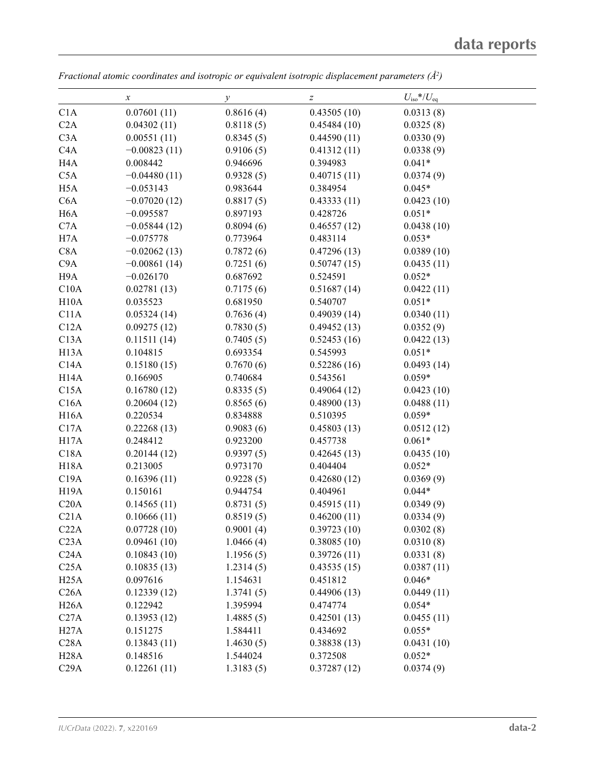|                   | $\boldsymbol{x}$ | у         | $\boldsymbol{Z}$ | $U_{\rm iso}$ */ $U_{\rm eq}$ |  |
|-------------------|------------------|-----------|------------------|-------------------------------|--|
| C1A               | 0.07601(11)      | 0.8616(4) | 0.43505(10)      | 0.0313(8)                     |  |
| C2A               | 0.04302(11)      | 0.8118(5) | 0.45484(10)      | 0.0325(8)                     |  |
| C3A               | 0.00551(11)      | 0.8345(5) | 0.44590(11)      | 0.0330(9)                     |  |
| C <sub>4</sub> A  | $-0.00823(11)$   | 0.9106(5) | 0.41312(11)      | 0.0338(9)                     |  |
| H <sub>4</sub> A  | 0.008442         | 0.946696  | 0.394983         | $0.041*$                      |  |
| C5A               | $-0.04480(11)$   | 0.9328(5) | 0.40715(11)      | 0.0374(9)                     |  |
| H <sub>5</sub> A  | $-0.053143$      | 0.983644  | 0.384954         | $0.045*$                      |  |
| C <sub>6</sub> A  | $-0.07020(12)$   | 0.8817(5) | 0.43333(11)      | 0.0423(10)                    |  |
| H <sub>6</sub> A  | $-0.095587$      | 0.897193  | 0.428726         | $0.051*$                      |  |
| C7A               | $-0.05844(12)$   | 0.8094(6) | 0.46557(12)      | 0.0438(10)                    |  |
| H7A               | $-0.075778$      | 0.773964  | 0.483114         | $0.053*$                      |  |
| C <sub>8</sub> A  | $-0.02062(13)$   | 0.7872(6) | 0.47296(13)      | 0.0389(10)                    |  |
| C <sub>9</sub> A  | $-0.00861(14)$   | 0.7251(6) | 0.50747(15)      | 0.0435(11)                    |  |
| H <sub>9</sub> A  | $-0.026170$      | 0.687692  | 0.524591         | $0.052*$                      |  |
| C10A              | 0.02781(13)      | 0.7175(6) | 0.51687(14)      | 0.0422(11)                    |  |
| H10A              | 0.035523         | 0.681950  | 0.540707         | $0.051*$                      |  |
| C11A              | 0.05324(14)      | 0.7636(4) | 0.49039(14)      | 0.0340(11)                    |  |
| C12A              | 0.09275(12)      | 0.7830(5) | 0.49452(13)      | 0.0352(9)                     |  |
| C13A              | 0.11511(14)      | 0.7405(5) | 0.52453(16)      | 0.0422(13)                    |  |
| H <sub>13</sub> A | 0.104815         | 0.693354  | 0.545993         | $0.051*$                      |  |
| C14A              | 0.15180(15)      | 0.7670(6) | 0.52286(16)      | 0.0493(14)                    |  |
| H14A              | 0.166905         | 0.740684  | 0.543561         | $0.059*$                      |  |
| C15A              | 0.16780(12)      | 0.8335(5) | 0.49064(12)      | 0.0423(10)                    |  |
| C16A              | 0.20604(12)      | 0.8565(6) | 0.48900(13)      | 0.0488(11)                    |  |
| <b>H16A</b>       | 0.220534         | 0.834888  | 0.510395         | $0.059*$                      |  |
| C17A              | 0.22268(13)      | 0.9083(6) | 0.45803(13)      | 0.0512(12)                    |  |
| H17A              | 0.248412         | 0.923200  | 0.457738         | $0.061*$                      |  |
| C18A              | 0.20144(12)      | 0.9397(5) | 0.42645(13)      | 0.0435(10)                    |  |
| <b>H18A</b>       | 0.213005         | 0.973170  | 0.404404         | $0.052*$                      |  |
| C19A              | 0.16396(11)      | 0.9228(5) | 0.42680(12)      | 0.0369(9)                     |  |
| <b>H19A</b>       | 0.150161         | 0.944754  | 0.404961         | $0.044*$                      |  |
| C20A              | 0.14565(11)      | 0.8731(5) | 0.45915(11)      | 0.0349(9)                     |  |
| C21A              | 0.10666(11)      | 0.8519(5) | 0.46200(11)      | 0.0334(9)                     |  |
| C22A              | 0.07728(10)      | 0.9001(4) | 0.39723(10)      | 0.0302(8)                     |  |
| C <sub>23A</sub>  | 0.09461(10)      | 1.0466(4) | 0.38085(10)      | 0.0310(8)                     |  |
| C24A              | 0.10843(10)      | 1.1956(5) | 0.39726(11)      | 0.0331(8)                     |  |
| C25A              | 0.10835(13)      | 1.2314(5) | 0.43535(15)      | 0.0387(11)                    |  |
| H25A              | 0.097616         | 1.154631  | 0.451812         | $0.046*$                      |  |
| C26A              | 0.12339(12)      | 1.3741(5) | 0.44906(13)      | 0.0449(11)                    |  |
| H26A              | 0.122942         | 1.395994  | 0.474774         | $0.054*$                      |  |
| C27A              | 0.13953(12)      | 1.4885(5) | 0.42501(13)      | 0.0455(11)                    |  |
| H27A              | 0.151275         | 1.584411  | 0.434692         | $0.055*$                      |  |
| C28A              | 0.13843(11)      | 1.4630(5) | 0.38838(13)      | 0.0431(10)                    |  |
| H28A              | 0.148516         | 1.544024  | 0.372508         | $0.052*$                      |  |
| C29A              | 0.12261(11)      | 1.3183(5) | 0.37287(12)      | 0.0374(9)                     |  |

*Fractional atomic coordinates and isotropic or equivalent isotropic displacement parameters (Å2 )*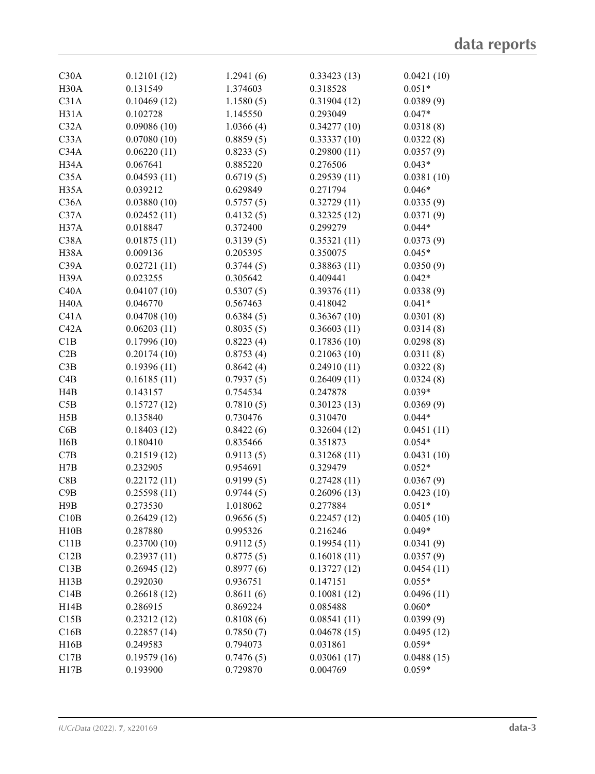| C30A              | 0.12101(12) | 1.2941(6) | 0.33423(13) | 0.0421(10) |
|-------------------|-------------|-----------|-------------|------------|
| H <sub>30</sub> A | 0.131549    | 1.374603  | 0.318528    | $0.051*$   |
| C31A              | 0.10469(12) | 1.1580(5) | 0.31904(12) | 0.0389(9)  |
| H31A              | 0.102728    | 1.145550  | 0.293049    | $0.047*$   |
| C32A              | 0.09086(10) | 1.0366(4) | 0.34277(10) | 0.0318(8)  |
| C33A              | 0.07080(10) | 0.8859(5) | 0.33337(10) | 0.0322(8)  |
| C34A              | 0.06220(11) | 0.8233(5) | 0.29800(11) | 0.0357(9)  |
| H34A              | 0.067641    | 0.885220  | 0.276506    | $0.043*$   |
| C35A              | 0.04593(11) | 0.6719(5) | 0.29539(11) | 0.0381(10) |
| H <sub>35</sub> A | 0.039212    | 0.629849  | 0.271794    | $0.046*$   |
| C36A              | 0.03880(10) | 0.5757(5) | 0.32729(11) | 0.0335(9)  |
| C37A              | 0.02452(11) | 0.4132(5) | 0.32325(12) | 0.0371(9)  |
| H37A              | 0.018847    | 0.372400  | 0.299279    | $0.044*$   |
| C38A              | 0.01875(11) | 0.3139(5) | 0.35321(11) | 0.0373(9)  |
| H38A              | 0.009136    | 0.205395  | 0.350075    | $0.045*$   |
| C39A              |             |           |             |            |
|                   | 0.02721(11) | 0.3744(5) | 0.38863(11) | 0.0350(9)  |
| H <sub>39</sub> A | 0.023255    | 0.305642  | 0.409441    | $0.042*$   |
| C40A              | 0.04107(10) | 0.5307(5) | 0.39376(11) | 0.0338(9)  |
| H <sub>40</sub> A | 0.046770    | 0.567463  | 0.418042    | $0.041*$   |
| C41A              | 0.04708(10) | 0.6384(5) | 0.36367(10) | 0.0301(8)  |
| C42A              | 0.06203(11) | 0.8035(5) | 0.36603(11) | 0.0314(8)  |
| C1B               | 0.17996(10) | 0.8223(4) | 0.17836(10) | 0.0298(8)  |
| C2B               | 0.20174(10) | 0.8753(4) | 0.21063(10) | 0.0311(8)  |
| C3B               | 0.19396(11) | 0.8642(4) | 0.24910(11) | 0.0322(8)  |
| C4B               | 0.16185(11) | 0.7937(5) | 0.26409(11) | 0.0324(8)  |
| H4B               | 0.143157    | 0.754534  | 0.247878    | $0.039*$   |
| C5B               | 0.15727(12) | 0.7810(5) | 0.30123(13) | 0.0369(9)  |
| H5B               | 0.135840    | 0.730476  | 0.310470    | $0.044*$   |
| C6B               | 0.18403(12) | 0.8422(6) | 0.32604(12) | 0.0451(11) |
| H6B               | 0.180410    | 0.835466  | 0.351873    | $0.054*$   |
| C7B               | 0.21519(12) | 0.9113(5) | 0.31268(11) | 0.0431(10) |
| H7B               | 0.232905    | 0.954691  | 0.329479    | $0.052*$   |
| C8B               | 0.22172(11) | 0.9199(5) | 0.27428(11) | 0.0367(9)  |
| C9B               | 0.25598(11) | 0.9744(5) | 0.26096(13) | 0.0423(10) |
| H9B               | 0.273530    | 1.018062  | 0.277884    | $0.051*$   |
|                   |             |           |             |            |
| C10B              | 0.26429(12) | 0.9656(5) | 0.22457(12) | 0.0405(10) |
| H10B              | 0.287880    | 0.995326  | 0.216246    | $0.049*$   |
| C11B              | 0.23700(10) | 0.9112(5) | 0.19954(11) | 0.0341(9)  |
| C12B              | 0.23937(11) | 0.8775(5) | 0.16018(11) | 0.0357(9)  |
| C13B              | 0.26945(12) | 0.8977(6) | 0.13727(12) | 0.0454(11) |
| H13B              | 0.292030    | 0.936751  | 0.147151    | $0.055*$   |
| C14B              | 0.26618(12) | 0.8611(6) | 0.10081(12) | 0.0496(11) |
| H14B              | 0.286915    | 0.869224  | 0.085488    | $0.060*$   |
| C15B              | 0.23212(12) | 0.8108(6) | 0.08541(11) | 0.0399(9)  |
| C16B              | 0.22857(14) | 0.7850(7) | 0.04678(15) | 0.0495(12) |
| H16B              | 0.249583    | 0.794073  | 0.031861    | $0.059*$   |
| C17B              | 0.19579(16) | 0.7476(5) | 0.03061(17) | 0.0488(15) |
| H17B              | 0.193900    | 0.729870  | 0.004769    | $0.059*$   |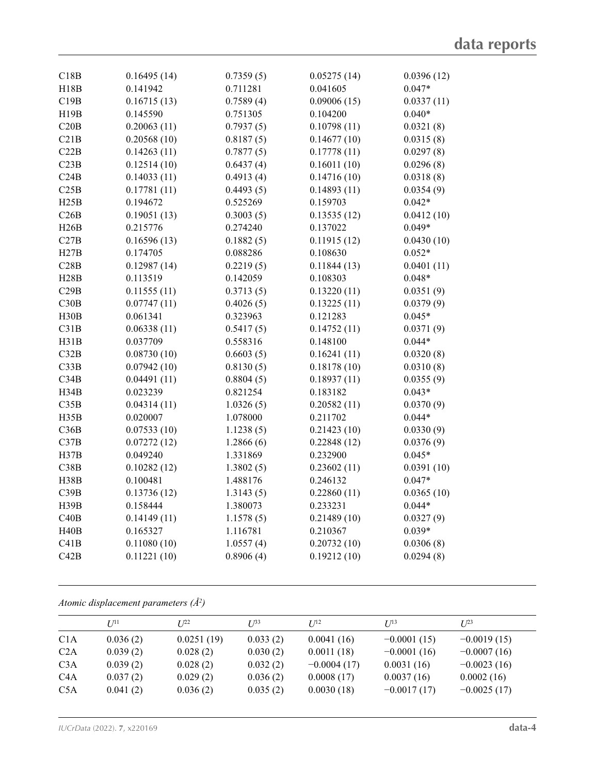| C18B | 0.16495(14) | 0.7359(5) | 0.05275(14) | 0.0396(12) |
|------|-------------|-----------|-------------|------------|
| H18B | 0.141942    | 0.711281  | 0.041605    | $0.047*$   |
| C19B | 0.16715(13) | 0.7589(4) | 0.09006(15) | 0.0337(11) |
| H19B | 0.145590    | 0.751305  | 0.104200    | $0.040*$   |
| C20B | 0.20063(11) | 0.7937(5) | 0.10798(11) | 0.0321(8)  |
| C21B | 0.20568(10) | 0.8187(5) | 0.14677(10) | 0.0315(8)  |
| C22B | 0.14263(11) | 0.7877(5) | 0.17778(11) | 0.0297(8)  |
| C23B | 0.12514(10) | 0.6437(4) | 0.16011(10) | 0.0296(8)  |
| C24B | 0.14033(11) | 0.4913(4) | 0.14716(10) | 0.0318(8)  |
| C25B | 0.17781(11) | 0.4493(5) | 0.14893(11) | 0.0354(9)  |
| H25B | 0.194672    | 0.525269  | 0.159703    | $0.042*$   |
| C26B | 0.19051(13) | 0.3003(5) | 0.13535(12) | 0.0412(10) |
| H26B | 0.215776    | 0.274240  | 0.137022    | $0.049*$   |
| C27B | 0.16596(13) | 0.1882(5) | 0.11915(12) | 0.0430(10) |
| H27B | 0.174705    | 0.088286  | 0.108630    | $0.052*$   |
| C28B | 0.12987(14) | 0.2219(5) | 0.11844(13) | 0.0401(11) |
| H28B | 0.113519    | 0.142059  | 0.108303    | $0.048*$   |
| C29B | 0.11555(11) | 0.3713(5) | 0.13220(11) | 0.0351(9)  |
| C30B | 0.07747(11) | 0.4026(5) | 0.13225(11) | 0.0379(9)  |
| H30B | 0.061341    | 0.323963  | 0.121283    | $0.045*$   |
| C31B | 0.06338(11) | 0.5417(5) | 0.14752(11) | 0.0371(9)  |
| H31B | 0.037709    | 0.558316  | 0.148100    | $0.044*$   |
| C32B | 0.08730(10) | 0.6603(5) | 0.16241(11) | 0.0320(8)  |
| C33B | 0.07942(10) | 0.8130(5) | 0.18178(10) | 0.0310(8)  |
| C34B | 0.04491(11) | 0.8804(5) | 0.18937(11) | 0.0355(9)  |
| H34B | 0.023239    | 0.821254  | 0.183182    | $0.043*$   |
| C35B | 0.04314(11) | 1.0326(5) | 0.20582(11) | 0.0370(9)  |
| H35B | 0.020007    | 1.078000  | 0.211702    | $0.044*$   |
| C36B | 0.07533(10) | 1.1238(5) | 0.21423(10) | 0.0330(9)  |
| C37B | 0.07272(12) | 1.2866(6) | 0.22848(12) | 0.0376(9)  |
| H37B | 0.049240    | 1.331869  | 0.232900    | $0.045*$   |
| C38B | 0.10282(12) | 1.3802(5) | 0.23602(11) | 0.0391(10) |
| H38B | 0.100481    | 1.488176  | 0.246132    | $0.047*$   |
| C39B | 0.13736(12) | 1.3143(5) | 0.22860(11) | 0.0365(10) |
| H39B | 0.158444    | 1.380073  | 0.233231    | $0.044*$   |
| C40B | 0.14149(11) | 1.1578(5) | 0.21489(10) | 0.0327(9)  |
| H40B | 0.165327    | 1.116781  | 0.210367    | $0.039*$   |
| C41B | 0.11080(10) | 1.0557(4) | 0.20732(10) | 0.0306(8)  |
| C42B | 0.11221(10) | 0.8906(4) | 0.19212(10) | 0.0294(8)  |
|      |             |           |             |            |

*Atomic displacement parameters (Å2 )*

| $U^{11}$ | $I^{22}$   | $I^{\beta 3}$ | $I/I^2$       | $I^{13}$      | $I^{23}$      |
|----------|------------|---------------|---------------|---------------|---------------|
| 0.036(2) | 0.0251(19) | 0.033(2)      | 0.0041(16)    | $-0.0001(15)$ | $-0.0019(15)$ |
| 0.039(2) | 0.028(2)   | 0.030(2)      | 0.0011(18)    | $-0.0001(16)$ | $-0.0007(16)$ |
| 0.039(2) | 0.028(2)   | 0.032(2)      | $-0.0004(17)$ | 0.0031(16)    | $-0.0023(16)$ |
| 0.037(2) | 0.029(2)   | 0.036(2)      | 0.0008(17)    | 0.0037(16)    | 0.0002(16)    |
| 0.041(2) | 0.036(2)   | 0.035(2)      | 0.0030(18)    | $-0.0017(17)$ | $-0.0025(17)$ |
|          |            |               |               |               |               |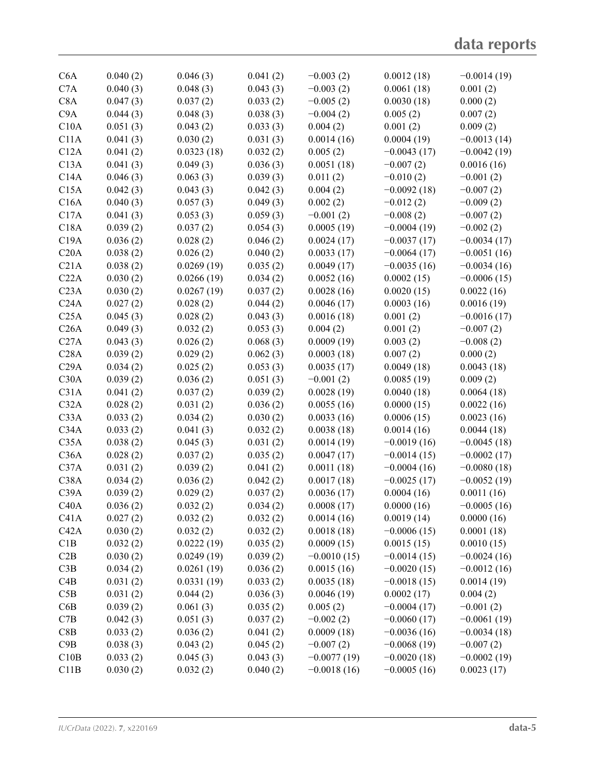| C6A              | 0.040(2) | 0.046(3)   | 0.041(2) | $-0.003(2)$   | 0.0012(18)    | $-0.0014(19)$ |
|------------------|----------|------------|----------|---------------|---------------|---------------|
| C7A              | 0.040(3) | 0.048(3)   | 0.043(3) | $-0.003(2)$   | 0.0061(18)    | 0.001(2)      |
| C8A              | 0.047(3) | 0.037(2)   | 0.033(2) | $-0.005(2)$   | 0.0030(18)    | 0.000(2)      |
| C9A              | 0.044(3) | 0.048(3)   | 0.038(3) | $-0.004(2)$   | 0.005(2)      | 0.007(2)      |
| C10A             | 0.051(3) | 0.043(2)   | 0.033(3) | 0.004(2)      | 0.001(2)      | 0.009(2)      |
| C11A             | 0.041(3) | 0.030(2)   | 0.031(3) | 0.0014(16)    | 0.0004(19)    | $-0.0013(14)$ |
| C12A             | 0.041(2) | 0.0323(18) | 0.032(2) | 0.005(2)      | $-0.0043(17)$ | $-0.0042(19)$ |
| C13A             | 0.041(3) | 0.049(3)   | 0.036(3) | 0.0051(18)    | $-0.007(2)$   | 0.0016(16)    |
| C14A             | 0.046(3) | 0.063(3)   | 0.039(3) | 0.011(2)      | $-0.010(2)$   | $-0.001(2)$   |
| C15A             | 0.042(3) | 0.043(3)   | 0.042(3) | 0.004(2)      | $-0.0092(18)$ | $-0.007(2)$   |
| C16A             | 0.040(3) | 0.057(3)   | 0.049(3) | 0.002(2)      | $-0.012(2)$   | $-0.009(2)$   |
| C17A             | 0.041(3) | 0.053(3)   |          | $-0.001(2)$   | $-0.008(2)$   |               |
|                  |          |            | 0.059(3) |               |               | $-0.007(2)$   |
| C18A             | 0.039(2) | 0.037(2)   | 0.054(3) | 0.0005(19)    | $-0.0004(19)$ | $-0.002(2)$   |
| C19A             | 0.036(2) | 0.028(2)   | 0.046(2) | 0.0024(17)    | $-0.0037(17)$ | $-0.0034(17)$ |
| C20A             | 0.038(2) | 0.026(2)   | 0.040(2) | 0.0033(17)    | $-0.0064(17)$ | $-0.0051(16)$ |
| C21A             | 0.038(2) | 0.0269(19) | 0.035(2) | 0.0049(17)    | $-0.0035(16)$ | $-0.0034(16)$ |
| C22A             | 0.030(2) | 0.0266(19) | 0.034(2) | 0.0052(16)    | 0.0002(15)    | $-0.0006(15)$ |
| C <sub>23A</sub> | 0.030(2) | 0.0267(19) | 0.037(2) | 0.0028(16)    | 0.0020(15)    | 0.0022(16)    |
| C <sub>24A</sub> | 0.027(2) | 0.028(2)   | 0.044(2) | 0.0046(17)    | 0.0003(16)    | 0.0016(19)    |
| C25A             | 0.045(3) | 0.028(2)   | 0.043(3) | 0.0016(18)    | 0.001(2)      | $-0.0016(17)$ |
| C26A             | 0.049(3) | 0.032(2)   | 0.053(3) | 0.004(2)      | 0.001(2)      | $-0.007(2)$   |
| C27A             | 0.043(3) | 0.026(2)   | 0.068(3) | 0.0009(19)    | 0.003(2)      | $-0.008(2)$   |
| C28A             | 0.039(2) | 0.029(2)   | 0.062(3) | 0.0003(18)    | 0.007(2)      | 0.000(2)      |
| C29A             | 0.034(2) | 0.025(2)   | 0.053(3) | 0.0035(17)    | 0.0049(18)    | 0.0043(18)    |
| C30A             | 0.039(2) | 0.036(2)   | 0.051(3) | $-0.001(2)$   | 0.0085(19)    | 0.009(2)      |
| C31A             | 0.041(2) | 0.037(2)   | 0.039(2) | 0.0028(19)    | 0.0040(18)    | 0.0064(18)    |
| C32A             | 0.028(2) | 0.031(2)   | 0.036(2) | 0.0055(16)    | 0.0000(15)    | 0.0022(16)    |
| C33A             | 0.033(2) | 0.034(2)   | 0.030(2) | 0.0033(16)    | 0.0006(15)    | 0.0023(16)    |
| C34A             | 0.033(2) | 0.041(3)   | 0.032(2) | 0.0038(18)    | 0.0014(16)    | 0.0044(18)    |
| C35A             | 0.038(2) | 0.045(3)   | 0.031(2) | 0.0014(19)    | $-0.0019(16)$ | $-0.0045(18)$ |
| C36A             | 0.028(2) | 0.037(2)   | 0.035(2) | 0.0047(17)    | $-0.0014(15)$ | $-0.0002(17)$ |
| C37A             | 0.031(2) | 0.039(2)   | 0.041(2) | 0.0011(18)    | $-0.0004(16)$ | $-0.0080(18)$ |
| C38A             | 0.034(2) | 0.036(2)   | 0.042(2) | 0.0017(18)    | $-0.0025(17)$ | $-0.0052(19)$ |
| C39A             | 0.039(2) | 0.029(2)   | 0.037(2) | 0.0036(17)    | 0.0004(16)    | 0.0011(16)    |
| C40A             | 0.036(2) | 0.032(2)   | 0.034(2) | 0.0008(17)    | 0.0000(16)    | $-0.0005(16)$ |
| C41A             | 0.027(2) | 0.032(2)   | 0.032(2) | 0.0014(16)    | 0.0019(14)    | 0.0000(16)    |
| C42A             | 0.030(2) | 0.032(2)   | 0.032(2) | 0.0018(18)    | $-0.0006(15)$ | 0.0001(18)    |
| C1B              | 0.032(2) | 0.0222(19) | 0.035(2) | 0.0009(15)    | 0.0015(15)    | 0.0010(15)    |
| C2B              | 0.030(2) | 0.0249(19) |          |               | $-0.0014(15)$ | $-0.0024(16)$ |
|                  |          |            | 0.039(2) | $-0.0010(15)$ |               |               |
| C3B              | 0.034(2) | 0.0261(19) | 0.036(2) | 0.0015(16)    | $-0.0020(15)$ | $-0.0012(16)$ |
| C4B              | 0.031(2) | 0.0331(19) | 0.033(2) | 0.0035(18)    | $-0.0018(15)$ | 0.0014(19)    |
| C5B              | 0.031(2) | 0.044(2)   | 0.036(3) | 0.0046(19)    | 0.0002(17)    | 0.004(2)      |
| C6B              | 0.039(2) | 0.061(3)   | 0.035(2) | 0.005(2)      | $-0.0004(17)$ | $-0.001(2)$   |
| C7B              | 0.042(3) | 0.051(3)   | 0.037(2) | $-0.002(2)$   | $-0.0060(17)$ | $-0.0061(19)$ |
| C8B              | 0.033(2) | 0.036(2)   | 0.041(2) | 0.0009(18)    | $-0.0036(16)$ | $-0.0034(18)$ |
| C9B              | 0.038(3) | 0.043(2)   | 0.045(2) | $-0.007(2)$   | $-0.0068(19)$ | $-0.007(2)$   |
| C10B             | 0.033(2) | 0.045(3)   | 0.043(3) | $-0.0077(19)$ | $-0.0020(18)$ | $-0.0002(19)$ |
| C11B             | 0.030(2) | 0.032(2)   | 0.040(2) | $-0.0018(16)$ | $-0.0005(16)$ | 0.0023(17)    |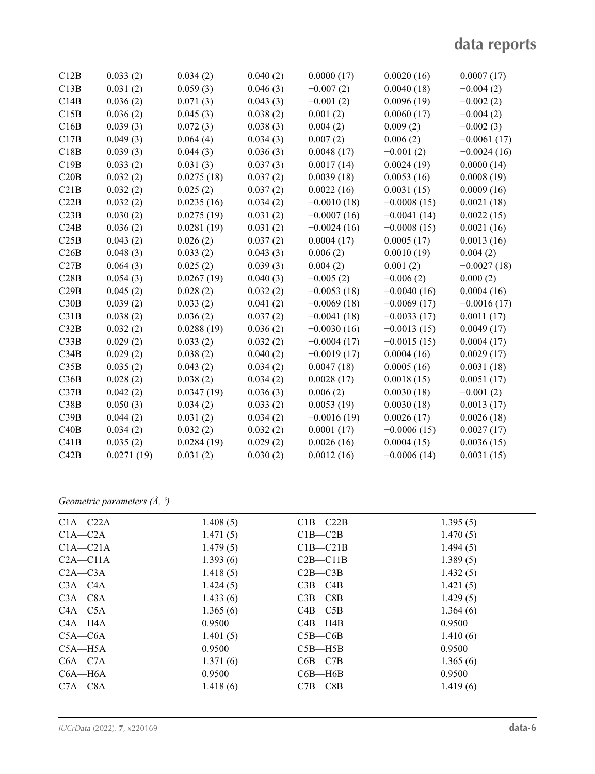| C12B | 0.033(2)   | 0.034(2)   | 0.040(2) | 0.0000(17)    | 0.0020(16)    | 0.0007(17)    |
|------|------------|------------|----------|---------------|---------------|---------------|
| C13B | 0.031(2)   | 0.059(3)   | 0.046(3) | $-0.007(2)$   | 0.0040(18)    | $-0.004(2)$   |
| C14B | 0.036(2)   | 0.071(3)   | 0.043(3) | $-0.001(2)$   | 0.0096(19)    | $-0.002(2)$   |
| C15B | 0.036(2)   | 0.045(3)   | 0.038(2) | 0.001(2)      | 0.0060(17)    | $-0.004(2)$   |
| C16B | 0.039(3)   | 0.072(3)   | 0.038(3) | 0.004(2)      | 0.009(2)      | $-0.002(3)$   |
| C17B | 0.049(3)   | 0.064(4)   | 0.034(3) | 0.007(2)      | 0.006(2)      | $-0.0061(17)$ |
| C18B | 0.039(3)   | 0.044(3)   | 0.036(3) | 0.0048(17)    | $-0.001(2)$   | $-0.0024(16)$ |
| C19B | 0.033(2)   | 0.031(3)   | 0.037(3) | 0.0017(14)    | 0.0024(19)    | 0.0000(14)    |
| C20B | 0.032(2)   | 0.0275(18) | 0.037(2) | 0.0039(18)    | 0.0053(16)    | 0.0008(19)    |
| C21B | 0.032(2)   | 0.025(2)   | 0.037(2) | 0.0022(16)    | 0.0031(15)    | 0.0009(16)    |
| C22B | 0.032(2)   | 0.0235(16) | 0.034(2) | $-0.0010(18)$ | $-0.0008(15)$ | 0.0021(18)    |
| C23B | 0.030(2)   | 0.0275(19) | 0.031(2) | $-0.0007(16)$ | $-0.0041(14)$ | 0.0022(15)    |
| C24B | 0.036(2)   | 0.0281(19) | 0.031(2) | $-0.0024(16)$ | $-0.0008(15)$ | 0.0021(16)    |
| C25B | 0.043(2)   | 0.026(2)   | 0.037(2) | 0.0004(17)    | 0.0005(17)    | 0.0013(16)    |
| C26B | 0.048(3)   | 0.033(2)   | 0.043(3) | 0.006(2)      | 0.0010(19)    | 0.004(2)      |
| C27B | 0.064(3)   | 0.025(2)   | 0.039(3) | 0.004(2)      | 0.001(2)      | $-0.0027(18)$ |
| C28B | 0.054(3)   | 0.0267(19) | 0.040(3) | $-0.005(2)$   | $-0.006(2)$   | 0.000(2)      |
| C29B | 0.045(2)   | 0.028(2)   | 0.032(2) | $-0.0053(18)$ | $-0.0040(16)$ | 0.0004(16)    |
| C30B | 0.039(2)   | 0.033(2)   | 0.041(2) | $-0.0069(18)$ | $-0.0069(17)$ | $-0.0016(17)$ |
| C31B | 0.038(2)   | 0.036(2)   | 0.037(2) | $-0.0041(18)$ | $-0.0033(17)$ | 0.0011(17)    |
| C32B | 0.032(2)   | 0.0288(19) | 0.036(2) | $-0.0030(16)$ | $-0.0013(15)$ | 0.0049(17)    |
| C33B | 0.029(2)   | 0.033(2)   | 0.032(2) | $-0.0004(17)$ | $-0.0015(15)$ | 0.0004(17)    |
| C34B | 0.029(2)   | 0.038(2)   | 0.040(2) | $-0.0019(17)$ | 0.0004(16)    | 0.0029(17)    |
| C35B | 0.035(2)   | 0.043(2)   | 0.034(2) | 0.0047(18)    | 0.0005(16)    | 0.0031(18)    |
| C36B | 0.028(2)   | 0.038(2)   | 0.034(2) | 0.0028(17)    | 0.0018(15)    | 0.0051(17)    |
| C37B | 0.042(2)   | 0.0347(19) | 0.036(3) | 0.006(2)      | 0.0030(18)    | $-0.001(2)$   |
| C38B | 0.050(3)   | 0.034(2)   | 0.033(2) | 0.0053(19)    | 0.0030(18)    | 0.0013(17)    |
| C39B | 0.044(2)   | 0.031(2)   | 0.034(2) | $-0.0016(19)$ | 0.0026(17)    | 0.0026(18)    |
| C40B | 0.034(2)   | 0.032(2)   | 0.032(2) | 0.0001(17)    | $-0.0006(15)$ | 0.0027(17)    |
| C41B | 0.035(2)   | 0.0284(19) | 0.029(2) | 0.0026(16)    | 0.0004(15)    | 0.0036(15)    |
| C42B | 0.0271(19) | 0.031(2)   | 0.030(2) | 0.0012(16)    | $-0.0006(14)$ | 0.0031(15)    |
|      |            |            |          |               |               |               |

*Geometric parameters (Å, º)*

| $C1A - C22A$ | 1.408(5) | $C1B - C22B$ | 1.395(5) |
|--------------|----------|--------------|----------|
| $C1A - C2A$  | 1.471(5) | $C1B - C2B$  | 1.470(5) |
| $C1A - C21A$ | 1.479(5) | $C1B - C21B$ | 1.494(5) |
| $C2A - C11A$ | 1.393(6) | $C2B - C11B$ | 1.389(5) |
| $C2A - C3A$  | 1.418(5) | $C2B - C3B$  | 1.432(5) |
| $C3A - C4A$  | 1.424(5) | $C3B - C4B$  | 1.421(5) |
| $C3A - C8A$  | 1.433(6) | $C3B - C8B$  | 1.429(5) |
| $C4A - C5A$  | 1.365(6) | $C4B - C5B$  | 1.364(6) |
| C4A—H4A      | 0.9500   | $C4B - H4B$  | 0.9500   |
| $C5A - C6A$  | 1.401(5) | $C5B - C6B$  | 1.410(6) |
| $C5A - H5A$  | 0.9500   | $C5B - H5B$  | 0.9500   |
| $C6A - C7A$  | 1.371(6) | $C6B - C7B$  | 1.365(6) |
| $C6A - H6A$  | 0.9500   | $C6B - H6B$  | 0.9500   |
| $C7A - C8A$  | 1.418(6) | $C7B - C8B$  | 1.419(6) |
|              |          |              |          |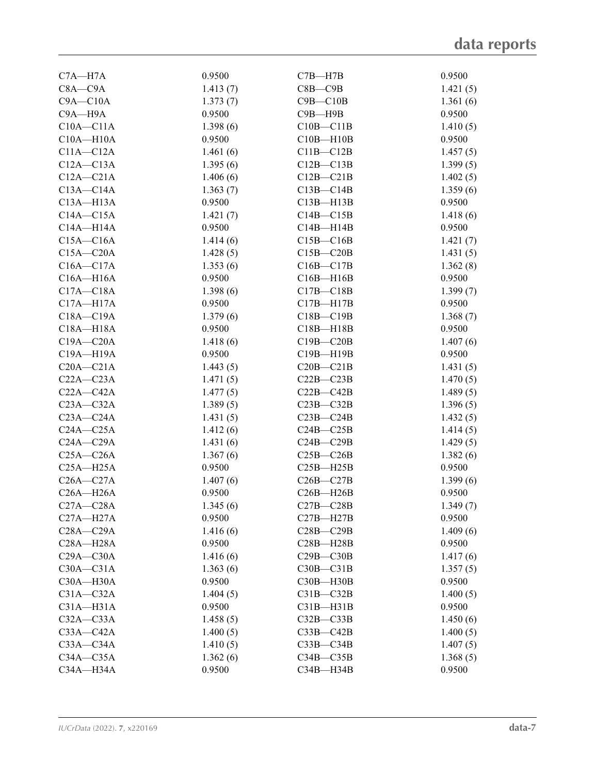| $C7A - H7A$   | 0.9500   | $C7B - H7B$   | 0.9500   |
|---------------|----------|---------------|----------|
| $C8A - C9A$   | 1.413(7) | $C8B - C9B$   | 1.421(5) |
| $C9A - C10A$  | 1.373(7) | $C9B - C10B$  | 1.361(6) |
| C9A-H9A       | 0.9500   | $C9B - H9B$   | 0.9500   |
| $C10A - C11A$ | 1.398(6) | $C10B - C11B$ | 1.410(5) |
| $C10A - H10A$ | 0.9500   | $C10B - H10B$ | 0.9500   |
| $C11A - C12A$ | 1.461(6) | $C11B - C12B$ | 1.457(5) |
| $C12A - C13A$ | 1.395(6) | $C12B - C13B$ | 1.399(5) |
| $C12A - C21A$ | 1.406(6) | $C12B - C21B$ | 1.402(5) |
| $C13A - C14A$ | 1.363(7) | $C13B - C14B$ | 1.359(6) |
| $C13A - H13A$ | 0.9500   | $C13B - H13B$ | 0.9500   |
| $C14A - C15A$ | 1.421(7) | $C14B - C15B$ | 1.418(6) |
| $C14A - H14A$ | 0.9500   | $C14B - H14B$ | 0.9500   |
| $C15A - C16A$ | 1.414(6) | $C15B - C16B$ | 1.421(7) |
| $C15A - C20A$ | 1.428(5) | $C15B - C20B$ | 1.431(5) |
| $C16A - C17A$ | 1.353(6) | $C16B - C17B$ | 1.362(8) |
| $C16A - H16A$ | 0.9500   | $C16B - H16B$ | 0.9500   |
| $C17A - C18A$ | 1.398(6) | $C17B - C18B$ | 1.399(7) |
| $C17A - H17A$ | 0.9500   | $C17B - H17B$ | 0.9500   |
| $C18A - C19A$ | 1.379(6) | $C18B - C19B$ | 1.368(7) |
| $C18A - H18A$ | 0.9500   | $C18B - H18B$ | 0.9500   |
| $C19A - C20A$ | 1.418(6) | $C19B - C20B$ | 1.407(6) |
| $C19A - H19A$ | 0.9500   | $C19B - H19B$ | 0.9500   |
| $C20A - C21A$ | 1.443(5) | $C20B - C21B$ | 1.431(5) |
| $C22A - C23A$ | 1.471(5) | $C22B - C23B$ | 1.470(5) |
| $C22A - C42A$ | 1.477(5) | $C22B - C42B$ | 1.489(5) |
| $C23A - C32A$ | 1.389(5) | $C23B - C32B$ | 1.396(5) |
| $C23A - C24A$ | 1.431(5) | $C23B - C24B$ | 1.432(5) |
| $C24A - C25A$ | 1.412(6) | $C24B - C25B$ | 1.414(5) |
| $C24A - C29A$ | 1.431(6) | $C24B - C29B$ | 1.429(5) |
| $C25A - C26A$ | 1.367(6) | $C25B - C26B$ | 1.382(6) |
| $C25A - H25A$ | 0.9500   | $C25B - H25B$ | 0.9500   |
| $C26A - C27A$ | 1.407(6) | $C26B - C27B$ | 1.399(6) |
| $C26A - H26A$ | 0.9500   | $C26B - H26B$ | 0.9500   |
| $C27A - C28A$ | 1.345(6) | $C27B - C28B$ | 1.349(7) |
| $C27A - H27A$ | 0.9500   | $C27B - H27B$ | 0.9500   |
| $C28A - C29A$ | 1.416(6) | $C28B - C29B$ | 1.409(6) |
| $C28A - H28A$ | 0.9500   | $C28B - H28B$ | 0.9500   |
| $C29A - C30A$ | 1.416(6) | $C29B - C30B$ | 1.417(6) |
| $C30A - C31A$ | 1.363(6) | $C30B - C31B$ | 1.357(5) |
| $C30A - H30A$ | 0.9500   | C30B-H30B     | 0.9500   |
| $C31A - C32A$ | 1.404(5) | $C31B - C32B$ | 1.400(5) |
| $C31A - H31A$ | 0.9500   | $C31B - H31B$ | 0.9500   |
| $C32A - C33A$ | 1.458(5) | $C32B - C33B$ | 1.450(6) |
| $C33A - C42A$ | 1.400(5) | $C33B - C42B$ | 1.400(5) |
| $C33A - C34A$ | 1.410(5) | $C33B - C34B$ | 1.407(5) |
| $C34A - C35A$ | 1.362(6) | $C34B - C35B$ | 1.368(5) |
| $C34A - H34A$ | 0.9500   | C34B-H34B     | 0.9500   |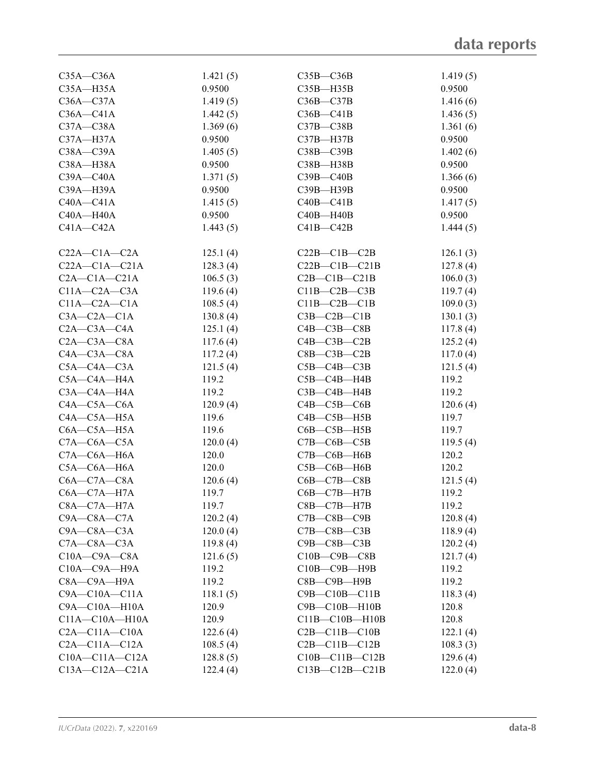| $C35A - C36A$        | 1.421(5) | $C35B - C36B$         | 1.419(5) |
|----------------------|----------|-----------------------|----------|
| $C35A - H35A$        | 0.9500   | $C35B - H35B$         | 0.9500   |
| $C36A - C37A$        | 1.419(5) | $C36B - C37B$         | 1.416(6) |
| $C36A - C41A$        | 1.442(5) | $C36B - C41B$         | 1.436(5) |
| $C37A - C38A$        | 1.369(6) | $C37B - C38B$         | 1.361(6) |
| C37A-H37A            | 0.9500   | C37B-H37B             | 0.9500   |
| $C38A - C39A$        | 1.405(5) | $C38B - C39B$         | 1.402(6) |
| C38A-H38A            | 0.9500   | C38B-H38B             | 0.9500   |
| $C39A - C40A$        | 1.371(5) | $C39B - C40B$         | 1.366(6) |
| C39A-H39A            | 0.9500   | C39B-H39B             | 0.9500   |
| $C40A - C41A$        | 1.415(5) | $C40B - C41B$         | 1.417(5) |
| $C40A - H40A$        | 0.9500   | $C40B - H40B$         | 0.9500   |
| $C41A - C42A$        | 1.443(5) | $C41B - C42B$         | 1.444(5) |
|                      |          |                       |          |
| $C22A - C1A - C2A$   | 125.1(4) | $C22B - C1B - C2B$    | 126.1(3) |
| $C22A - C1A - C21A$  | 128.3(4) | $C22B - C1B - C21B$   | 127.8(4) |
| $C2A - C1A - C21A$   | 106.5(3) | $C2B - C1B - C21B$    | 106.0(3) |
| $C11A - C2A - C3A$   | 119.6(4) | $C11B - C2B - C3B$    | 119.7(4) |
| $C11A - C2A - C1A$   | 108.5(4) | $C11B - C2B - C1B$    | 109.0(3) |
| $C3A - C2A - C1A$    | 130.8(4) | $C3B - C2B - C1B$     | 130.1(3) |
| $C2A - C3A - C4A$    | 125.1(4) | $C4B - C3B - C8B$     | 117.8(4) |
| $C2A - C3A - C8A$    | 117.6(4) | $C4B - C3B - C2B$     | 125.2(4) |
| $C4A - C3A - C8A$    | 117.2(4) | $C8B - C3B - C2B$     | 117.0(4) |
| $C5A - C4A - C3A$    | 121.5(4) | $C5B - C4B - C3B$     | 121.5(4) |
| C5A-C4A-H4A          | 119.2    | $C5B - C4B - H4B$     | 119.2    |
| $C3A - C4A - H4A$    | 119.2    | $C3B - C4B - H4B$     | 119.2    |
| $C4A - C5A - C6A$    | 120.9(4) | $C4B - C5B - C6B$     | 120.6(4) |
| $C4A - C5A - H5A$    | 119.6    | $C4B - C5B - H5B$     | 119.7    |
| $C6A - C5A - H5A$    | 119.6    | $C6B - C5B - H5B$     | 119.7    |
| $C7A - C6A - C5A$    | 120.0(4) | $C7B - C6B - C5B$     | 119.5(4) |
| $C7A - C6A - H6A$    | 120.0    | $C7B - C6B - H6B$     | 120.2    |
| $C5A - C6A - H6A$    | 120.0    | $C5B - C6B - H6B$     | 120.2    |
| $C6A - C7A - C8A$    | 120.6(4) | $C6B - C7B - C8B$     | 121.5(4) |
| $C6A - C7A - H7A$    | 119.7    | $C6B - C7B - H7B$     | 119.2    |
| $C8A - C7A - H7A$    | 119.7    | $C8B - C7B - H7B$     | 119.2    |
| $C9A - C8A - C7A$    | 120.2(4) | $C7B - C8B - C9B$     | 120.8(4) |
| $C9A - C8A - C3A$    | 120.0(4) | $C7B - C8B - C3B$     | 118.9(4) |
| $C7A - C8A - C3A$    | 119.8(4) | $C9B - C8B - C3B$     | 120.2(4) |
| $C10A - C9A - C8A$   | 121.6(5) | $C10B - C9B - C8B$    | 121.7(4) |
| $C10A - C9A - H9A$   | 119.2    | $C10B - C9B - H9B$    | 119.2    |
| C8A-C9A-H9A          | 119.2    | $C8B$ — $C9B$ —H $9B$ | 119.2    |
| $C9A - C10A - C11A$  | 118.1(5) | $C9B - C10B - C11B$   | 118.3(4) |
| $C9A - C10A - H10A$  | 120.9    | $C9B - C10B - H10B$   | 120.8    |
| $C11A - C10A - H10A$ | 120.9    | $C11B - C10B - H10B$  | 120.8    |
| $C2A - C11A - C10A$  | 122.6(4) | $C2B - C11B - C10B$   | 122.1(4) |
| $C2A - C11A - C12A$  | 108.5(4) | $C2B - C11B - C12B$   | 108.3(3) |
| $C10A - C11A - C12A$ | 128.8(5) | $C10B - C11B - C12B$  | 129.6(4) |
| $C13A - C12A - C21A$ | 122.4(4) | $C13B - C12B - C21B$  | 122.0(4) |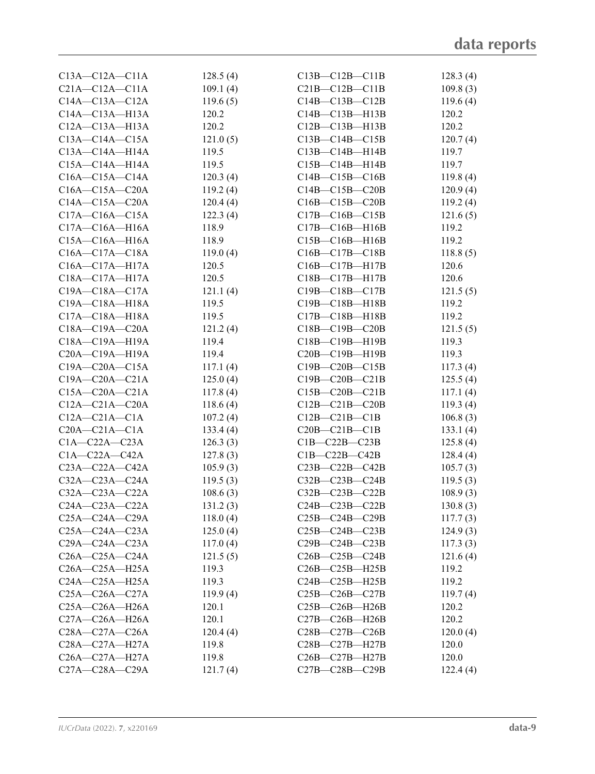| $C13A - C12A - C11A$ | 128.5(4) | $C13B - C12B - C11B$                                  | 128.3(4) |
|----------------------|----------|-------------------------------------------------------|----------|
| $C21A - C12A - C11A$ | 109.1(4) | $C21B-C12B-C11B$                                      | 109.8(3) |
| $C14A - C13A - C12A$ | 119.6(5) | $C14B - C13B - C12B$                                  | 119.6(4) |
| $C14A - C13A - H13A$ | 120.2    | $C14B - C13B - H13B$                                  | 120.2    |
| $C12A - C13A - H13A$ | 120.2    | $C12B - C13B - H13B$                                  | 120.2    |
| $C13A - C14A - C15A$ | 121.0(5) | $C13B - C14B - C15B$                                  | 120.7(4) |
| $C13A - C14A - H14A$ | 119.5    | $C13B - C14B - H14B$                                  | 119.7    |
| $C15A - C14A - H14A$ | 119.5    | $C15B - C14B - H14B$                                  | 119.7    |
| $C16A - C15A - C14A$ | 120.3(4) | $C14B - C15B - C16B$                                  | 119.8(4) |
| $C16A - C15A - C20A$ | 119.2(4) | $C14B - C15B - C20B$                                  | 120.9(4) |
| $C14A - C15A - C20A$ | 120.4(4) | $C16B - C15B - C20B$                                  | 119.2(4) |
| $C17A - C16A - C15A$ | 122.3(4) | $C17B - C16B - C15B$                                  | 121.6(5) |
| $C17A - C16A - H16A$ | 118.9    | $C17B - C16B - H16B$                                  | 119.2    |
| $C15A - C16A - H16A$ | 118.9    | $C15B - C16B - H16B$                                  | 119.2    |
| $C16A - C17A - C18A$ | 119.0(4) | $C16B - C17B - C18B$                                  | 118.8(5) |
| C16A-C17A-H17A       | 120.5    | $C16B - C17B - H17B$                                  | 120.6    |
| $C18A - C17A - H17A$ | 120.5    | $C18B - C17B - H17B$                                  | 120.6    |
| $C19A - C18A - C17A$ | 121.1(4) | C19B-C18B-C17B                                        | 121.5(5) |
| C19A-C18A-H18A       | 119.5    | C19B-C18B-H18B                                        | 119.2    |
| $C17A - C18A - H18A$ | 119.5    | $C17B - C18B - H18B$                                  | 119.2    |
| $C18A - C19A - C20A$ | 121.2(4) | $C18B - C19B - C20B$                                  | 121.5(5) |
| $C18A - C19A - H19A$ | 119.4    | C18B-C19B-H19B                                        | 119.3    |
| $C20A - C19A - H19A$ | 119.4    | $C20B - C19B - H19B$                                  | 119.3    |
| $C19A - C20A - C15A$ | 117.1(4) | $C19B - C20B - C15B$                                  | 117.3(4) |
| $C19A - C20A - C21A$ | 125.0(4) | $C19B - C20B - C21B$                                  | 125.5(4) |
| $C15A - C20A - C21A$ | 117.8(4) | $C15B - C20B - C21B$                                  | 117.1(4) |
| $C12A - C21A - C20A$ | 118.6(4) | $C12B - C21B - C20B$                                  | 119.3(4) |
| $C12A - C21A - C1A$  | 107.2(4) | $C12B - C21B - C1B$                                   | 106.8(3) |
| $C20A - C21A - C1A$  | 133.4(4) | $C20B - C21B - C1B$                                   | 133.1(4) |
| $C1A - C22A - C23A$  | 126.3(3) | $C1B-C22B-C23B$                                       | 125.8(4) |
| $C1A - C22A - C42A$  | 127.8(3) | $C1B-C22B-C42B$                                       | 128.4(4) |
| $C23A - C22A - C42A$ | 105.9(3) | $C23B-C22B-C42B$                                      | 105.7(3) |
| $C32A - C23A - C24A$ | 119.5(3) | $C32B - C23B - C24B$                                  | 119.5(3) |
| $C32A - C23A - C22A$ | 108.6(3) | C32B-C23B-C22B                                        | 108.9(3) |
| $C24A - C23A - C22A$ | 131.2(3) | C24B-C23B-C22B                                        | 130.8(3) |
| $C25A - C24A - C29A$ | 118.0(4) | $C25B-C24B-C29B$                                      | 117.7(3) |
| $C25A - C24A - C23A$ | 125.0(4) | $C25B-C24B-C23B$                                      | 124.9(3) |
| $C29A - C24A - C23A$ | 117.0(4) | $C29B-C24B-C23B$                                      | 117.3(3) |
| $C26A - C25A - C24A$ | 121.5(5) | $C26B - C25B - C24B$                                  | 121.6(4) |
| $C26A - C25A - H25A$ | 119.3    | C <sub>26</sub> B-C <sub>25</sub> B-H <sub>25</sub> B | 119.2    |
| $C24A - C25A - H25A$ | 119.3    | $C24B - C25B - H25B$                                  | 119.2    |
| $C25A - C26A - C27A$ | 119.9(4) | $C25B-C26B-C27B$                                      | 119.7(4) |
| $C25A - C26A - H26A$ | 120.1    | $C25B-C26B-H26B$                                      | 120.2    |
| $C27A - C26A - H26A$ | 120.1    | $C27B-C26B-H26B$                                      | 120.2    |
| $C28A - C27A - C26A$ | 120.4(4) | $C28B - C27B - C26B$                                  | 120.0(4) |
| $C28A - C27A - H27A$ | 119.8    | $C28B - C27B - H27B$                                  | 120.0    |
| $C26A - C27A - H27A$ | 119.8    | $C26B - C27B - H27B$                                  | 120.0    |
| $C27A - C28A - C29A$ | 121.7(4) | $C27B-C28B-C29B$                                      | 122.4(4) |
|                      |          |                                                       |          |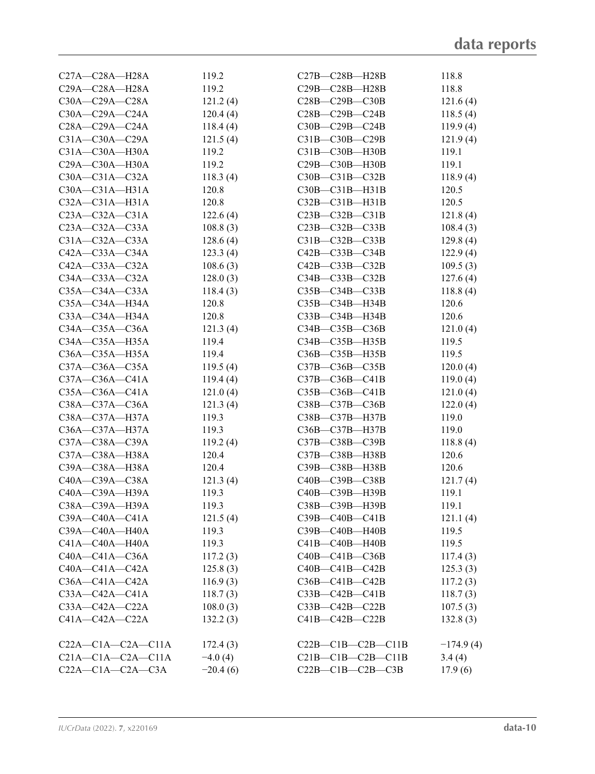| $C27A - C28A - H28A$      | 119.2      | $C27B - C28B - H28B$     | 118.8       |
|---------------------------|------------|--------------------------|-------------|
| $C29A - C28A - H28A$      | 119.2      | C29B-C28B-H28B           | 118.8       |
| $C30A - C29A - C28A$      | 121.2(4)   | C28B-C29B-C30B           | 121.6(4)    |
| $C30A - C29A - C24A$      | 120.4(4)   | C28B-C29B-C24B           | 118.5(4)    |
| $C28A - C29A - C24A$      | 118.4(4)   | C30B-C29B-C24B           | 119.9(4)    |
| $C31A - C30A - C29A$      | 121.5(4)   | C31B-C30B-C29B           | 121.9(4)    |
| C31A-C30A-H30A            | 119.2      | C31B-C30B-H30B           | 119.1       |
| $C29A - C30A - H30A$      | 119.2      | C29B-C30B-H30B           | 119.1       |
| $C30A - C31A - C32A$      | 118.3(4)   | $C30B - C31B - C32B$     | 118.9(4)    |
| $C30A - C31A - H31A$      | 120.8      | $C30B - C31B - H31B$     | 120.5       |
| $C32A - C31A - H31A$      | 120.8      | $C32B - C31B - H31B$     | 120.5       |
| $C23A - C32A - C31A$      | 122.6(4)   | $C23B - C32B - C31B$     | 121.8(4)    |
| $C23A - C32A - C33A$      | 108.8(3)   | C23B-C32B-C33B           | 108.4(3)    |
| $C31A - C32A - C33A$      | 128.6(4)   | $C31B - C32B - C33B$     | 129.8(4)    |
| $C42A - C33A - C34A$      | 123.3(4)   | C42B-C33B-C34B           | 122.9(4)    |
| $C42A - C33A - C32A$      | 108.6(3)   | $C42B - C33B - C32B$     | 109.5(3)    |
| $C34A - C33A - C32A$      | 128.0(3)   | $C34B - C33B - C32B$     | 127.6(4)    |
| $C35A - C34A - C33A$      | 118.4(3)   | $C35B - C34B - C33B$     | 118.8(4)    |
| C35A-C34A-H34A            | 120.8      | C35B-C34B-H34B           | 120.6       |
| $C33A - C34A - H34A$      | 120.8      | $C33B - C34B - H34B$     | 120.6       |
| $C34A - C35A - C36A$      | 121.3(4)   | C34B-C35B-C36B           | 121.0(4)    |
| $C34A - C35A - H35A$      | 119.4      | C34B-C35B-H35B           | 119.5       |
| C36A-C35A-H35A            | 119.4      | $C36B - C35B - H35B$     | 119.5       |
| $C37A - C36A - C35A$      | 119.5(4)   | $C37B - C36B - C35B$     | 120.0(4)    |
| $C37A - C36A - C41A$      | 119.4(4)   | $C37B - C36B - C41B$     | 119.0(4)    |
| $C35A - C36A - C41A$      | 121.0(4)   | $C35B - C36B - C41B$     | 121.0(4)    |
| $C38A - C37A - C36A$      | 121.3(4)   | C38B-C37B-C36B           | 122.0(4)    |
| C38A-C37A-H37A            | 119.3      | C38B-C37B-H37B           | 119.0       |
| $C36A - C37A - H37A$      | 119.3      | $C36B - C37B - H37B$     | 119.0       |
| C37A-C38A-C39A            | 119.2(4)   | $C37B - C38B - C39B$     | 118.8(4)    |
| C37A-C38A-H38A            | 120.4      | C37B-C38B-H38B           | 120.6       |
| C39A-C38A-H38A            | 120.4      | C39B-C38B-H38B           | 120.6       |
| C40A-C39A-C38A            | 121.3(4)   | C40B-C39B-C38B           | 121.7(4)    |
| C40A-C39A-H39A            | 119.3      | C40B-C39B-H39B           | 119.1       |
| C38A-C39A-H39A            | 119.3      | C38B-C39B-H39B           | 119.1       |
| $C39A - C40A - C41A$      | 121.5(4)   | $C39B - C40B - C41B$     | 121.1(4)    |
| C39A-C40A-H40A            | 119.3      | C39B-C40B-H40B           | 119.5       |
| $C41A - C40A - H40A$      | 119.3      | $C41B - C40B - H40B$     | 119.5       |
| $C40A - C41A - C36A$      | 117.2(3)   | $C40B - C41B - C36B$     | 117.4(3)    |
| $C40A - C41A - C42A$      | 125.8(3)   | $C40B - C41B - C42B$     | 125.3(3)    |
| $C36A - C41A - C42A$      | 116.9(3)   | $C36B - C41B - C42B$     | 117.2(3)    |
| $C33A - C42A - C41A$      | 118.7(3)   | $C33B - C42B - C41B$     | 118.7(3)    |
| $C33A - C42A - C22A$      | 108.0(3)   | $C33B-C42B-C22B$         | 107.5(3)    |
| $C41A - C42A - C22A$      | 132.2(3)   | $C41B-C42B-C22B$         | 132.8(3)    |
|                           |            |                          |             |
| $C22A - C1A - C2A - C11A$ | 172.4(3)   | $C22B-C1B-C2B-C11B$      | $-174.9(4)$ |
| $C21A-C1A-C2A-C11A$       | $-4.0(4)$  | $C21B-C1B-C2B-C11B$      | 3.4(4)      |
| $C22A - C1A - C2A - C3A$  | $-20.4(6)$ | $C22B - C1B - C2B - C3B$ | 17.9(6)     |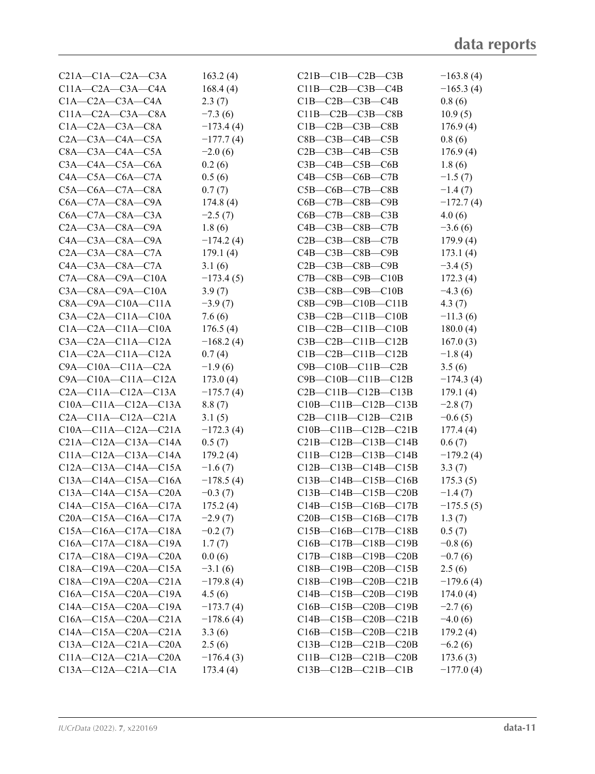| $C21A - C1A - C2A - C3A$    | 163.2(4)    | $C21B-C1B-C2B-C3B$             | $-163.8(4)$ |
|-----------------------------|-------------|--------------------------------|-------------|
| $C11A - C2A - C3A - C4A$    | 168.4(4)    | $C11B - C2B - C3B - C4B$       | $-165.3(4)$ |
| $C1A - C2A - C3A - C4A$     | 2.3(7)      | $C1B - C2B - C3B - C4B$        | 0.8(6)      |
| $C11A - C2A - C3A - C8A$    | $-7.3(6)$   | $C11B - C2B - C3B - C8B$       | 10.9(5)     |
| $C1A - C2A - C3A - C8A$     | $-173.4(4)$ | $C1B - C2B - C3B - C8B$        | 176.9(4)    |
| $C2A - C3A - C4A - C5A$     | $-177.7(4)$ | $C8B - C3B - C4B - C5B$        | 0.8(6)      |
| $C8A - C3A - C4A - C5A$     | $-2.0(6)$   | $C2B - C3B - C4B - C5B$        | 176.9(4)    |
| $C3A - C4A - C5A - C6A$     | 0.2(6)      | $C3B - C4B - C5B - C6B$        | 1.8(6)      |
| $C4A - C5A - C6A - C7A$     | 0.5(6)      | $C4B - C5B - C6B - C7B$        | $-1.5(7)$   |
| $C5A-C6A-C7A-C8A$           | 0.7(7)      | $C5B - C6B - C7B - C8B$        | $-1.4(7)$   |
| $C6A - C7A - C8A - C9A$     | 174.8(4)    | $C6B - C7B - C8B - C9B$        | $-172.7(4)$ |
| $C6A - C7A - C8A - C3A$     | $-2.5(7)$   | $C6B - C7B - C8B - C3B$        | 4.0(6)      |
| $C2A - C3A - C8A - C9A$     | 1.8(6)      | $C4B - C3B - C8B - C7B$        | $-3.6(6)$   |
| $C4A - C3A - C8A - C9A$     | $-174.2(4)$ | $C2B$ — $C3B$ — $C8B$ — $C7B$  | 179.9(4)    |
| $C2A - C3A - C8A - C7A$     | 179.1(4)    | $C4B$ — $C3B$ — $C8B$ — $C9B$  | 173.1(4)    |
| $C4A - C3A - C8A - C7A$     | 3.1(6)      | $C2B$ — $C3B$ — $C8B$ — $C9B$  | $-3.4(5)$   |
| $C7A - C8A - C9A - C10A$    | $-173.4(5)$ | $C7B$ — $C8B$ — $C9B$ — $C10B$ | 172.3(4)    |
| $C3A - C8A - C9A - C10A$    | 3.9(7)      | $C3B$ — $C8B$ — $C9B$ — $C10B$ | $-4.3(6)$   |
| $C8A - C9A - C10A - C11A$   | $-3.9(7)$   | $C8B - C9B - C10B - C11B$      | 4.3(7)      |
| $C3A - C2A - C11A - C10A$   | 7.6(6)      | $C3B - C2B - C11B - C10B$      | $-11.3(6)$  |
| $C1A-C2A-C11A-C10A$         | 176.5(4)    | $C1B-C2B-C11B-C10B$            | 180.0(4)    |
| $C3A - C2A - C11A - C12A$   | $-168.2(4)$ | $C3B-C2B-C11B-C12B$            | 167.0(3)    |
| $C1A-C2A-C11A-C12A$         | 0.7(4)      | $C1B-C2B-C11B-C12B$            | $-1.8(4)$   |
| $C9A - C10A - C11A - C2A$   | $-1.9(6)$   | $C9B - C10B - C11B - C2B$      | 3.5(6)      |
| $C9A - C10A - C11A - C12A$  | 173.0(4)    | $C9B - C10B - C11B - C12B$     | $-174.3(4)$ |
| $C2A - C11A - C12A - C13A$  | $-175.7(4)$ | $C2B - C11B - C12B - C13B$     | 179.1(4)    |
| $C10A - C11A - C12A - C13A$ | 8.8(7)      | $C10B - C11B - C12B - C13B$    | $-2.8(7)$   |
| $C2A - C11A - C12A - C21A$  | 3.1(5)      | $C2B - C11B - C12B - C21B$     | $-0.6(5)$   |
| $C10A - C11A - C12A - C21A$ | $-172.3(4)$ | $C10B - C11B - C12B - C21B$    | 177.4(4)    |
| $C21A-C12A-C13A-C14A$       | 0.5(7)      | $C21B-C12B-C13B-C14B$          | 0.6(7)      |
| $C11A-C12A-C13A-C14A$       | 179.2(4)    | $C11B-C12B-C13B-C14B$          | $-179.2(4)$ |
| $C12A - C13A - C14A - C15A$ | $-1.6(7)$   | $C12B - C13B - C14B - C15B$    | 3.3(7)      |
| $C13A - C14A - C15A - C16A$ | $-178.5(4)$ | $C13B - C14B - C15B - C16B$    | 175.3(5)    |
| $C13A - C14A - C15A - C20A$ | $-0.3(7)$   | $C13B - C14B - C15B - C20B$    | $-1.4(7)$   |
| $C14A - C15A - C16A - C17A$ | 175.2(4)    | $C14B - C15B - C16B - C17B$    | $-175.5(5)$ |
| $C20A - C15A - C16A - C17A$ | $-2.9(7)$   | $C20B - C15B - C16B - C17B$    | 1.3(7)      |
| $C15A - C16A - C17A - C18A$ | $-0.2(7)$   | $C15B - C16B - C17B - C18B$    | 0.5(7)      |
| $C16A - C17A - C18A - C19A$ | 1.7(7)      | $C16B - C17B - C18B - C19B$    | $-0.8(6)$   |
| $C17A - C18A - C19A - C20A$ | 0.0(6)      | C17B-C18B-C19B-C20B            | $-0.7(6)$   |
| $C18A - C19A - C20A - C15A$ | $-3.1(6)$   | $C18B - C19B - C20B - C15B$    | 2.5(6)      |
| C18A-C19A-C20A-C21A         | $-179.8(4)$ | C18B-C19B-C20B-C21B            | $-179.6(4)$ |
| $C16A - C15A - C20A - C19A$ | 4.5(6)      | $C14B - C15B - C20B - C19B$    | 174.0(4)    |
| $C14A - C15A - C20A - C19A$ | $-173.7(4)$ | $C16B - C15B - C20B - C19B$    | $-2.7(6)$   |
| $C16A - C15A - C20A - C21A$ | $-178.6(4)$ | $C14B - C15B - C20B - C21B$    | $-4.0(6)$   |
| $C14A - C15A - C20A - C21A$ | 3.3(6)      | $C16B - C15B - C20B - C21B$    | 179.2(4)    |
| $C13A - C12A - C21A - C20A$ | 2.5(6)      | $C13B - C12B - C21B - C20B$    | $-6.2(6)$   |
| $C11A-C12A-C21A-C20A$       | $-176.4(3)$ | $C11B-C12B-C21B-C20B$          | 173.6(3)    |
| $C13A - C12A - C21A - C1A$  | 173.4(4)    | $C13B - C12B - C21B - C1B$     | $-177.0(4)$ |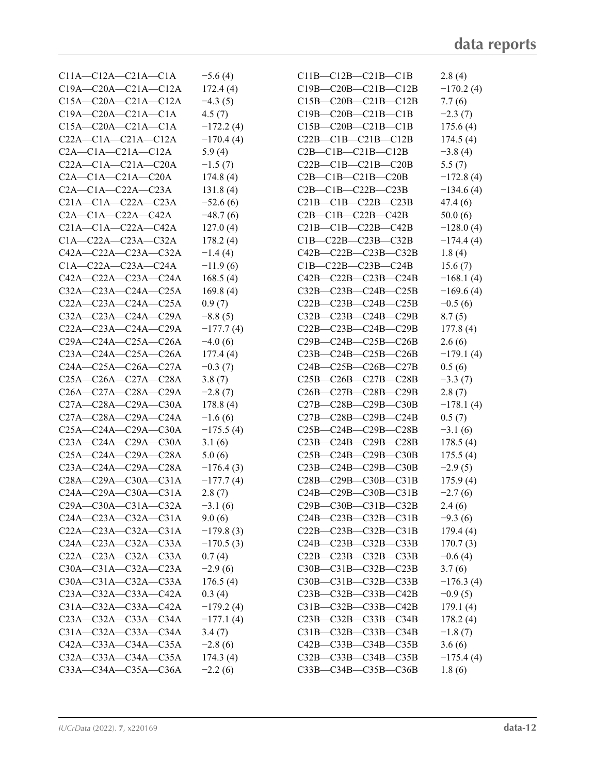| $C11A - C12A - C21A - C1A$  | $-5.6(4)$   | $C11B-C12B-C21B-C1B$        | 2.8(4)      |
|-----------------------------|-------------|-----------------------------|-------------|
| $C19A - C20A - C21A - C12A$ | 172.4(4)    | $C19B - C20B - C21B - C12B$ | $-170.2(4)$ |
| $C15A - C20A - C21A - C12A$ | $-4.3(5)$   | $C15B-C20B-C21B-C12B$       | 7.7(6)      |
| $C19A - C20A - C21A - C1A$  | 4.5(7)      | $C19B - C20B - C21B - C1B$  | $-2.3(7)$   |
| $C15A - C20A - C21A - C1A$  | $-172.2(4)$ | $C15B - C20B - C21B - C1B$  | 175.6(4)    |
| $C22A - C1A - C21A - C12A$  | $-170.4(4)$ | $C22B - C1B - C21B - C12B$  | 174.5(4)    |
| $C2A - C1A - C21A - C12A$   | 5.9(4)      | $C2B-C1B-C21B-C12B$         | $-3.8(4)$   |
| $C22A - C1A - C21A - C20A$  | $-1.5(7)$   | $C22B - C1B - C21B - C20B$  | 5.5(7)      |
| $C2A - C1A - C21A - C20A$   | 174.8(4)    | $C2B-C1B-C21B-C20B$         | $-172.8(4)$ |
| $C2A - C1A - C22A - C23A$   | 131.8(4)    | $C2B-C1B-C22B-C23B$         | $-134.6(4)$ |
| $C21A - C1A - C22A - C23A$  | $-52.6(6)$  | $C21B-C1B-C22B-C23B$        | 47.4 (6)    |
| $C2A - C1A - C22A - C42A$   | $-48.7(6)$  | $C2B-C1B-C22B-C42B$         | 50.0(6)     |
| $C21A - C1A - C22A - C42A$  | 127.0(4)    | $C21B-C1B-C22B-C42B$        | $-128.0(4)$ |
| $C1A-C22A-C23A-C32A$        | 178.2(4)    | $C1B-C22B-C23B-C32B$        | $-174.4(4)$ |
| $C42A - C22A - C23A - C32A$ | $-1.4(4)$   | $C42B - C22B - C23B - C32B$ | 1.8(4)      |
| $C1A-C22A-C23A-C24A$        | $-11.9(6)$  | $C1B-C22B-C23B-C24B$        | 15.6(7)     |
| $C42A - C22A - C23A - C24A$ | 168.5(4)    | $C42B - C22B - C23B - C24B$ | $-168.1(4)$ |
| $C32A - C23A - C24A - C25A$ | 169.8(4)    | $C32B - C23B - C24B - C25B$ | $-169.6(4)$ |
| $C22A - C23A - C24A - C25A$ | 0.9(7)      | $C22B - C23B - C24B - C25B$ | $-0.5(6)$   |
| $C32A - C23A - C24A - C29A$ | $-8.8(5)$   | $C32B - C23B - C24B - C29B$ | 8.7(5)      |
| $C22A - C23A - C24A - C29A$ | $-177.7(4)$ | $C22B - C23B - C24B - C29B$ | 177.8(4)    |
| $C29A - C24A - C25A - C26A$ | $-4.0(6)$   | $C29B - C24B - C25B - C26B$ | 2.6(6)      |
| $C23A - C24A - C25A - C26A$ | 177.4(4)    | $C23B-C24B-C25B-C26B$       | $-179.1(4)$ |
| $C24A - C25A - C26A - C27A$ | $-0.3(7)$   | $C24B - C25B - C26B - C27B$ | 0.5(6)      |
| $C25A - C26A - C27A - C28A$ | 3.8(7)      | $C25B-C26B-C27B-C28B$       | $-3.3(7)$   |
| $C26A - C27A - C28A - C29A$ | $-2.8(7)$   | $C26B - C27B - C28B - C29B$ | 2.8(7)      |
| $C27A - C28A - C29A - C30A$ | 178.8(4)    | $C27B - C28B - C29B - C30B$ | $-178.1(4)$ |
| C27A-C28A-C29A-C24A         | $-1.6(6)$   | $C27B - C28B - C29B - C24B$ | 0.5(7)      |
| $C25A - C24A - C29A - C30A$ | $-175.5(4)$ | $C25B - C24B - C29B - C28B$ | $-3.1(6)$   |
| $C23A - C24A - C29A - C30A$ | 3.1(6)      | $C23B-C24B-C29B-C28B$       | 178.5(4)    |
| $C25A - C24A - C29A - C28A$ | 5.0(6)      | C25B-C24B-C29B-C30B         | 175.5(4)    |
| $C23A - C24A - C29A - C28A$ | $-176.4(3)$ | $C23B - C24B - C29B - C30B$ | $-2.9(5)$   |
| $C28A - C29A - C30A - C31A$ | $-177.7(4)$ | $C28B - C29B - C30B - C31B$ | 175.9(4)    |
| $C24A - C29A - C30A - C31A$ | 2.8(7)      | $C24B - C29B - C30B - C31B$ | $-2.7(6)$   |
| $C29A - C30A - C31A - C32A$ | $-3.1(6)$   | $C29B - C30B - C31B - C32B$ | 2.4(6)      |
| $C24A - C23A - C32A - C31A$ | 9.0(6)      | $C24B - C23B - C32B - C31B$ | $-9.3(6)$   |
| $C22A - C23A - C32A - C31A$ | $-179.8(3)$ | $C22B - C23B - C32B - C31B$ | 179.4(4)    |
| $C24A - C23A - C32A - C33A$ | $-170.5(3)$ | $C24B - C23B - C32B - C33B$ | 170.7(3)    |
| C22A-C23A-C32A-C33A         | 0.7(4)      | $C22B - C23B - C32B - C33B$ | $-0.6(4)$   |
| $C30A - C31A - C32A - C23A$ | $-2.9(6)$   | C30B-C31B-C32B-C23B         | 3.7(6)      |
| $C30A - C31A - C32A - C33A$ | 176.5(4)    | $C30B - C31B - C32B - C33B$ | $-176.3(4)$ |
| $C23A - C32A - C33A - C42A$ | 0.3(4)      | $C23B - C32B - C33B - C42B$ | $-0.9(5)$   |
| $C31A - C32A - C33A - C42A$ | $-179.2(4)$ | $C31B - C32B - C33B - C42B$ | 179.1(4)    |
| $C23A - C32A - C33A - C34A$ | $-177.1(4)$ | $C23B - C32B - C33B - C34B$ | 178.2(4)    |
| $C31A - C32A - C33A - C34A$ | 3.4(7)      | $C31B - C32B - C33B - C34B$ | $-1.8(7)$   |
| C42A-C33A-C34A-C35A         | $-2.8(6)$   | $C42B - C33B - C34B - C35B$ | 3.6(6)      |
| C32A-C33A-C34A-C35A         | 174.3(4)    | $C32B - C33B - C34B - C35B$ | $-175.4(4)$ |
| $C33A - C34A - C35A - C36A$ | $-2.2(6)$   | $C33B - C34B - C35B - C36B$ | 1.8(6)      |
|                             |             |                             |             |